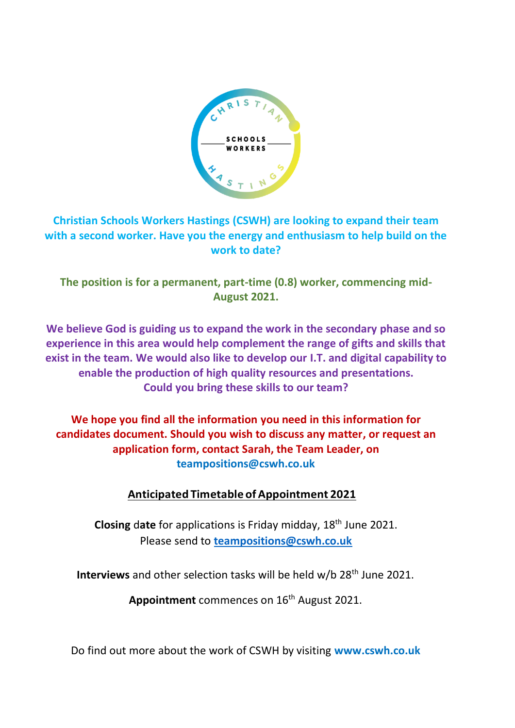

# **Christian Schools Workers Hastings (CSWH) are looking to expand their team with a second worker. Have you the energy and enthusiasm to help build on the work to date?**

**The position is for a permanent, part-time (0.8) worker, commencing mid-August 2021.** 

**We believe God is guiding us to expand the work in the secondary phase and so experience in this area would help complement the range of gifts and skills that exist in the team. We would also like to develop our I.T. and digital capability to enable the production of high quality resources and presentations. Could you bring these skills to our team?**

**We hope you find all the information you need in this information for candidates document. Should you wish to discuss any matter, or request an application form, contact Sarah, the Team Leader, on teampositions@cswh.co.uk**

# **Anticipated Timetable ofAppointment 2021**

**Closing** d**ate** for applications is Friday midday, 18th June 2021. Please send to **[teampositions@cswh.co.uk](mailto:teampositions@cswh.co.uk)**

**Interviews** and other selection tasks will be held w/b 28<sup>th</sup> June 2021.

Appointment commences on 16<sup>th</sup> August 2021.

Do find out more about the work of CSWH by visiting **www.cswh.co.uk**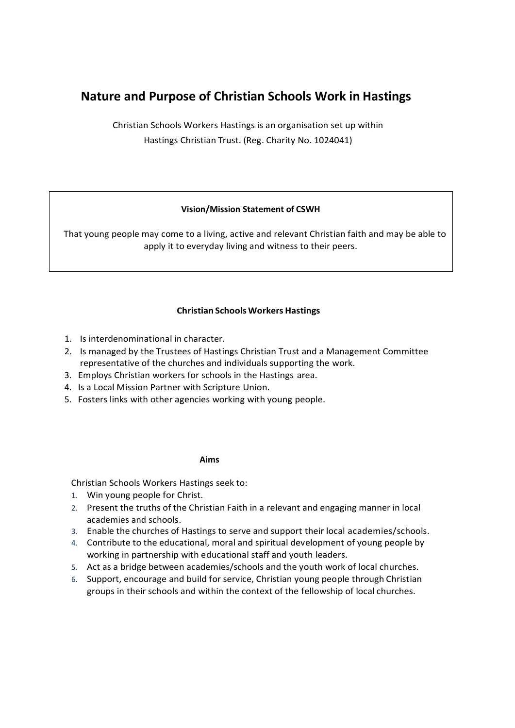# **Nature and Purpose of Christian Schools Work in Hastings**

Christian Schools Workers Hastings is an organisation set up within Hastings Christian Trust. (Reg. Charity No. 1024041)

## **Vision/Mission Statement of CSWH**

 That young people may come to a living, active and relevant Christian faith and may be able to apply it to everyday living and witness to their peers.

## **Christian Schools Workers Hastings**

- 1. Is interdenominational in character.
- 2. Is managed by the Trustees of Hastings Christian Trust and a Management Committee representative of the churches and individuals supporting the work.
- 3. Employs Christian workers for schools in the Hastings area.
- 4. Is a Local Mission Partner with Scripture Union.
- 5. Fosters links with other agencies working with young people.

#### **Aims**

Christian Schools Workers Hastings seek to:

- 1. Win young people for Christ.
- 2. Present the truths of the Christian Faith in a relevant and engaging manner in local academies and schools.
- 3. Enable the churches of Hastings to serve and support their local academies/schools.
- 4. Contribute to the educational, moral and spiritual development of young people by working in partnership with educational staff and youth leaders.
- 5. Act as a bridge between academies/schools and the youth work of local churches.
- 6. Support, encourage and build for service, Christian young people through Christian groups in their schools and within the context of the fellowship of local churches.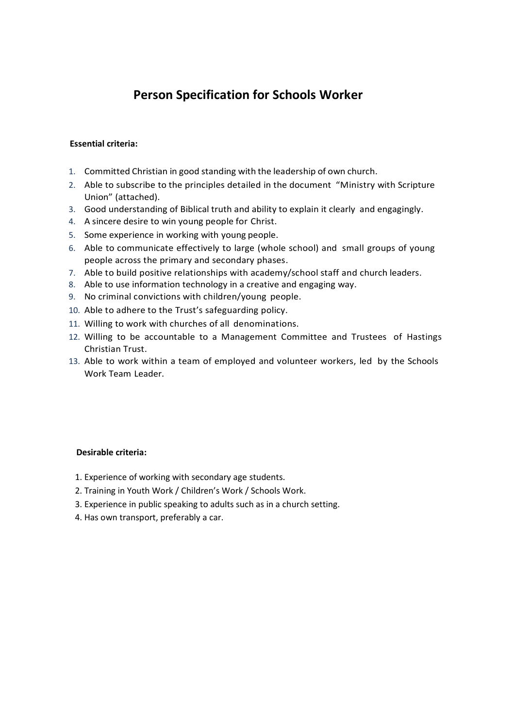# **Person Specification for Schools Worker**

#### **Essential criteria:**

- 1. Committed Christian in good standing with the leadership of own church.
- 2. Able to subscribe to the principles detailed in the document "Ministry with Scripture Union" (attached).
- 3. Good understanding of Biblical truth and ability to explain it clearly and engagingly.
- 4. A sincere desire to win young people for Christ.
- 5. Some experience in working with young people.
- 6. Able to communicate effectively to large (whole school) and small groups of young people across the primary and secondary phases.
- 7. Able to build positive relationships with academy/school staff and church leaders.
- 8. Able to use information technology in a creative and engaging way.
- 9. No criminal convictions with children/young people.
- 10. Able to adhere to the Trust's safeguarding policy.
- 11. Willing to work with churches of all denominations.
- 12. Willing to be accountable to a Management Committee and Trustees of Hastings Christian Trust.
- 13. Able to work within a team of employed and volunteer workers, led by the Schools Work Team Leader.

#### **Desirable criteria:**

- 1. Experience of working with secondary age students.
- 2. Training in Youth Work / Children's Work / Schools Work.
- 3. Experience in public speaking to adults such as in a church setting.
- 4. Has own transport, preferably a car.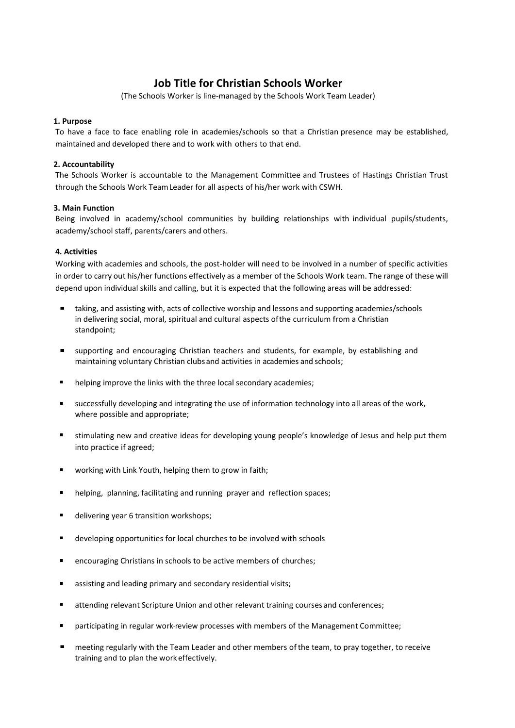## **Job Title for Christian Schools Worker**

(The Schools Worker is line-managed by the Schools Work Team Leader)

#### **1. Purpose**

To have a face to face enabling role in academies/schools so that a Christian presence may be established, maintained and developed there and to work with others to that end.

#### **2. Accountability**

The Schools Worker is accountable to the Management Committee and Trustees of Hastings Christian Trust through the Schools Work TeamLeader for all aspects of his/her work with CSWH.

#### **3. Main Function**

Being involved in academy/school communities by building relationships with individual pupils/students, academy/school staff, parents/carers and others.

#### **4. Activities**

Working with academies and schools, the post-holder will need to be involved in a number of specific activities in order to carry out his/her functions effectively as a member of the Schools Work team. The range of these will depend upon individual skills and calling, but it is expected that the following areas will be addressed:

- taking, and assisting with, acts of collective worship and lessons and supporting academies/schools in delivering social, moral, spiritual and cultural aspects ofthe curriculum from a Christian standpoint;
- supporting and encouraging Christian teachers and students, for example, by establishing and maintaining voluntary Christian clubs and activities in academies and schools;
- helping improve the links with the three local secondary academies;
- successfully developing and integrating the use of information technology into all areas of the work, where possible and appropriate;
- stimulating new and creative ideas for developing young people's knowledge of Jesus and help put them into practice if agreed;
- working with Link Youth, helping them to grow in faith;
- helping, planning, facilitating and running prayer and reflection spaces;
- delivering year 6 transition workshops;
- developing opportunities for local churches to be involved with schools
- encouraging Christians in schools to be active members of churches;
- assisting and leading primary and secondary residential visits;
- attending relevant Scripture Union and other relevant training courses and conferences;
- participating in regular work-review processes with members of the Management Committee;
- meeting regularly with the Team Leader and other members of the team, to pray together, to receive training and to plan the work effectively.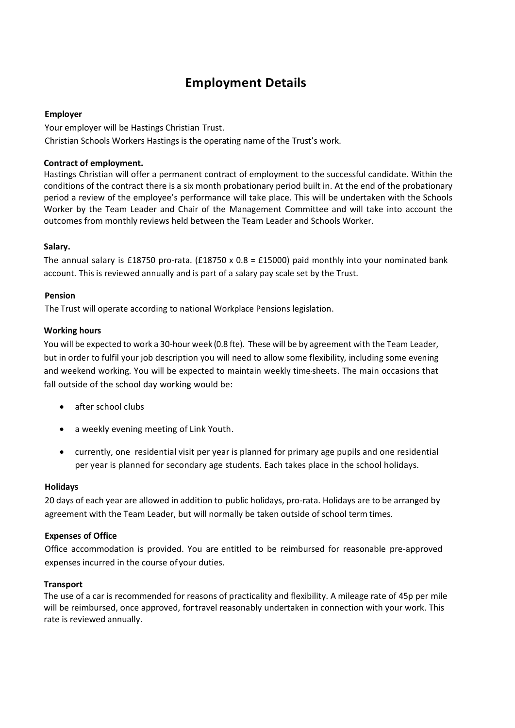# **Employment Details**

#### **Employer**

Your employer will be Hastings Christian Trust. Christian Schools Workers Hastings is the operating name of the Trust's work.

## **Contract of employment.**

Hastings Christian will offer a permanent contract of employment to the successful candidate. Within the conditions of the contract there is a six month probationary period built in. At the end of the probationary period a review of the employee's performance will take place. This will be undertaken with the Schools Worker by the Team Leader and Chair of the Management Committee and will take into account the outcomes from monthly reviews held between the Team Leader and Schools Worker.

## **Salary.**

The annual salary is £18750 pro-rata. (£18750 x 0.8 = £15000) paid monthly into your nominated bank account. This is reviewed annually and is part of a salary pay scale set by the Trust.

## **Pension**

The Trust will operate according to national Workplace Pensions legislation.

## **Working hours**

You will be expected to work a 30-hour week (0.8 fte). These will be by agreement with the Team Leader, but in order to fulfil your job description you will need to allow some flexibility, including some evening and weekend working. You will be expected to maintain weekly time-sheets. The main occasions that fall outside of the school day working would be:

- after school clubs
- a weekly evening meeting of Link Youth.
- currently, one residential visit per year is planned for primary age pupils and one residential per year is planned for secondary age students. Each takes place in the school holidays.

## **Holidays**

20 days of each year are allowed in addition to public holidays, pro-rata. Holidays are to be arranged by agreement with the Team Leader, but will normally be taken outside of school term times.

## **Expenses of Office**

Office accommodation is provided. You are entitled to be reimbursed for reasonable pre-approved expenses incurred in the course of your duties.

## **Transport**

The use of a car is recommended for reasons of practicality and flexibility. A mileage rate of 45p per mile will be reimbursed, once approved, fortravel reasonably undertaken in connection with your work. This rate is reviewed annually.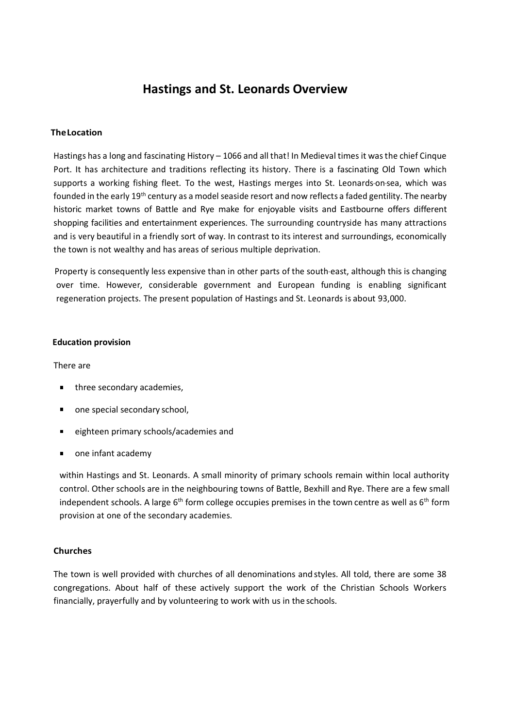# **Hastings and St. Leonards Overview**

#### **TheLocation**

Hastings has a long and fascinating History – 1066 and all that! In Medieval times it wasthe chief Cinque Port. It has architecture and traditions reflecting its history. There is a fascinating Old Town which supports a working fishing fleet. To the west, Hastings merges into St. Leonards-on-sea, which was founded in the early 19th century as a model seaside resort and now reflects a faded gentility. The nearby historic market towns of Battle and Rye make for enjoyable visits and Eastbourne offers different shopping facilities and entertainment experiences. The surrounding countryside has many attractions and is very beautiful in a friendly sort of way. In contrast to its interest and surroundings, economically the town is not wealthy and has areas of serious multiple deprivation.

Property is consequently less expensive than in other parts of the south-east, although this is changing over time. However, considerable government and European funding is enabling significant regeneration projects. The present population of Hastings and St. Leonards is about 93,000.

#### **Education provision**

#### There are

- three secondary academies,
- one special secondary school,
- eighteen primary schools/academies and
- one infant academy

within Hastings and St. Leonards. A small minority of primary schools remain within local authority control. Other schools are in the neighbouring towns of Battle, Bexhill and Rye. There are a few small independent schools. A large  $6<sup>th</sup>$  form college occupies premises in the town centre as well as  $6<sup>th</sup>$  form provision at one of the secondary academies.

#### **Churches**

The town is well provided with churches of all denominations and styles. All told, there are some 38 congregations. About half of these actively support the work of the Christian Schools Workers financially, prayerfully and by volunteering to work with us in the schools.